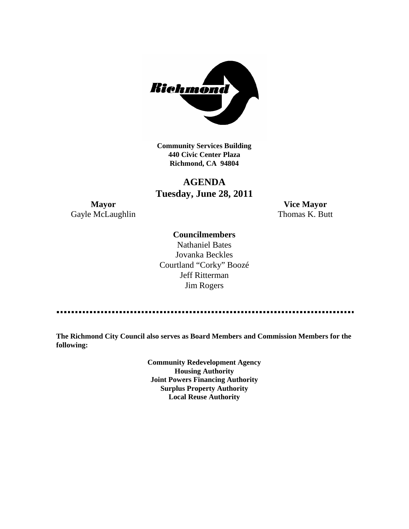

**Community Services Building 440 Civic Center Plaza Richmond, CA 94804**

# **AGENDA Tuesday, June 28, 2011**

Gayle McLaughlin Thomas K. Butt

**Mayor Vice Mayor**

#### **Councilmembers**

Nathaniel Bates Jovanka Beckles Courtland "Corky" Boozé Jeff Ritterman Jim Rogers

**The Richmond City Council also serves as Board Members and Commission Members for the following:**

> **Community Redevelopment Agency Housing Authority Joint Powers Financing Authority Surplus Property Authority Local Reuse Authority**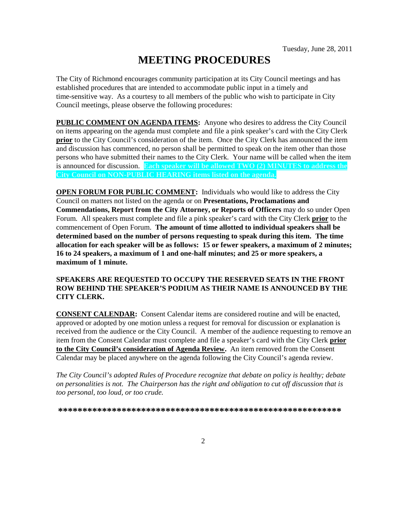# **MEETING PROCEDURES**

The City of Richmond encourages community participation at its City Council meetings and has established procedures that are intended to accommodate public input in a timely and time-sensitive way. As a courtesy to all members of the public who wish to participate in City Council meetings, please observe the following procedures:

**PUBLIC COMMENT ON AGENDA ITEMS:** Anyone who desires to address the City Council on items appearing on the agenda must complete and file a pink speaker's card with the City Clerk **prior** to the City Council's consideration of the item. Once the City Clerk has announced the item and discussion has commenced, no person shall be permitted to speak on the item other than those persons who have submitted their names to the City Clerk. Your name will be called when the item is announced for discussion. **Each speaker will be allowed TWO (2) MINUTES to address the City Council on NON-PUBLIC HEARING items listed on the agenda.**

**OPEN FORUM FOR PUBLIC COMMENT:** Individuals who would like to address the City Council on matters not listed on the agenda or on **Presentations, Proclamations and Commendations, Report from the City Attorney, or Reports of Officers** may do so under Open Forum. All speakers must complete and file a pink speaker's card with the City Clerk **prior** to the commencement of Open Forum. **The amount of time allotted to individual speakers shall be determined based on the number of persons requesting to speak during this item. The time allocation for each speaker will be as follows: 15 or fewer speakers, a maximum of 2 minutes; 16 to 24 speakers, a maximum of 1 and one-half minutes; and 25 or more speakers, a maximum of 1 minute.**

#### **SPEAKERS ARE REQUESTED TO OCCUPY THE RESERVED SEATS IN THE FRONT ROW BEHIND THE SPEAKER'S PODIUM AS THEIR NAME IS ANNOUNCED BY THE CITY CLERK.**

**CONSENT CALENDAR:** Consent Calendar items are considered routine and will be enacted, approved or adopted by one motion unless a request for removal for discussion or explanation is received from the audience or the City Council. A member of the audience requesting to remove an item from the Consent Calendar must complete and file a speaker's card with the City Clerk **prior to the City Council's consideration of Agenda Review.** An item removed from the Consent Calendar may be placed anywhere on the agenda following the City Council's agenda review.

*The City Council's adopted Rules of Procedure recognize that debate on policy is healthy; debate on personalities is not. The Chairperson has the right and obligation to cut off discussion that is too personal, too loud, or too crude.*

**\*\*\*\*\*\*\*\*\*\*\*\*\*\*\*\*\*\*\*\*\*\*\*\*\*\*\*\*\*\*\*\*\*\*\*\*\*\*\*\*\*\*\*\*\*\*\*\*\*\*\*\*\*\*\*\*\*\***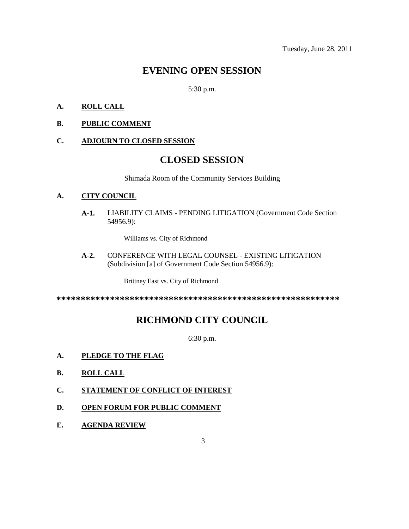## **EVENING OPEN SESSION**

5:30 p.m.

#### **A. ROLL CALL**

**B. PUBLIC COMMENT**

#### **C. ADJOURN TO CLOSED SESSION**

## **CLOSED SESSION**

Shimada Room of the Community Services Building

#### **A. CITY COUNCIL**

**A-1.** LIABILITY CLAIMS - PENDING LITIGATION (Government Code Section 54956.9):

Williams vs. City of Richmond

**A-2.** CONFERENCE WITH LEGAL COUNSEL - EXISTING LITIGATION (Subdivision [a] of Government Code Section 54956.9):

Brittney East vs. City of Richmond

**\*\*\*\*\*\*\*\*\*\*\*\*\*\*\*\*\*\*\*\*\*\*\*\*\*\*\*\*\*\*\*\*\*\*\*\*\*\*\*\*\*\*\*\*\*\*\*\*\*\*\*\*\*\*\*\*\*\***

## **RICHMOND CITY COUNCIL**

6:30 p.m.

- **A. PLEDGE TO THE FLAG**
- **B. ROLL CALL**
- **C. STATEMENT OF CONFLICT OF INTEREST**
- **D. OPEN FORUM FOR PUBLIC COMMENT**
- **E. AGENDA REVIEW**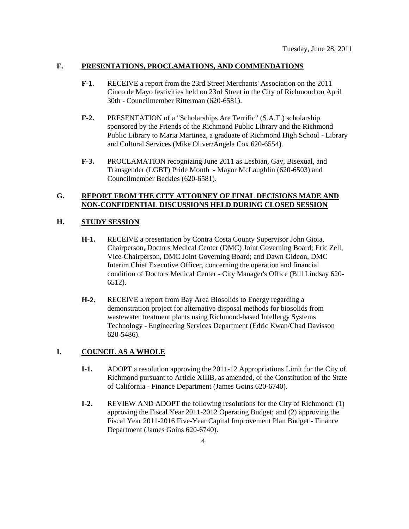#### **F. PRESENTATIONS, PROCLAMATIONS, AND COMMENDATIONS**

- **F-1.** RECEIVE a report from the 23rd Street Merchants' Association on the 2011 Cinco de Mayo festivities held on 23rd Street in the City of Richmond on April 30th - Councilmember Ritterman (620-6581).
- **F-2.** PRESENTATION of a "Scholarships Are Terrific" (S.A.T.) scholarship sponsored by the Friends of the Richmond Public Library and the Richmond Public Library to Maria Martinez, a graduate of Richmond High School - Library and Cultural Services (Mike Oliver/Angela Cox 620-6554).
- **F-3.** PROCLAMATION recognizing June 2011 as Lesbian, Gay, Bisexual, and Transgender (LGBT) Pride Month - Mayor McLaughlin (620-6503) and Councilmember Beckles (620-6581).

#### **G. REPORT FROM THE CITY ATTORNEY OF FINAL DECISIONS MADE AND NON-CONFIDENTIAL DISCUSSIONS HELD DURING CLOSED SESSION**

#### **H. STUDY SESSION**

- **H-1.** RECEIVE a presentation by Contra Costa County Supervisor John Gioia, Chairperson, Doctors Medical Center (DMC) Joint Governing Board; Eric Zell, Vice-Chairperson, DMC Joint Governing Board; and Dawn Gideon, DMC Interim Chief Executive Officer, concerning the operation and financial condition of Doctors Medical Center - City Manager's Office (Bill Lindsay 620- 6512).
- **H-2.** RECEIVE a report from Bay Area Biosolids to Energy regarding a demonstration project for alternative disposal methods for biosolids from wastewater treatment plants using Richmond-based Intellergy Systems Technology - Engineering Services Department (Edric Kwan/Chad Davisson 620-5486).

#### **I. COUNCIL AS A WHOLE**

- **I-1.** ADOPT a resolution approving the 2011-12 Appropriations Limit for the City of Richmond pursuant to Article XIIIB, as amended, of the Constitution of the State of California - Finance Department (James Goins 620-6740).
- **I-2.** REVIEW AND ADOPT the following resolutions for the City of Richmond: (1) approving the Fiscal Year 2011-2012 Operating Budget; and (2) approving the Fiscal Year 2011-2016 Five-Year Capital Improvement Plan Budget - Finance Department (James Goins 620-6740).